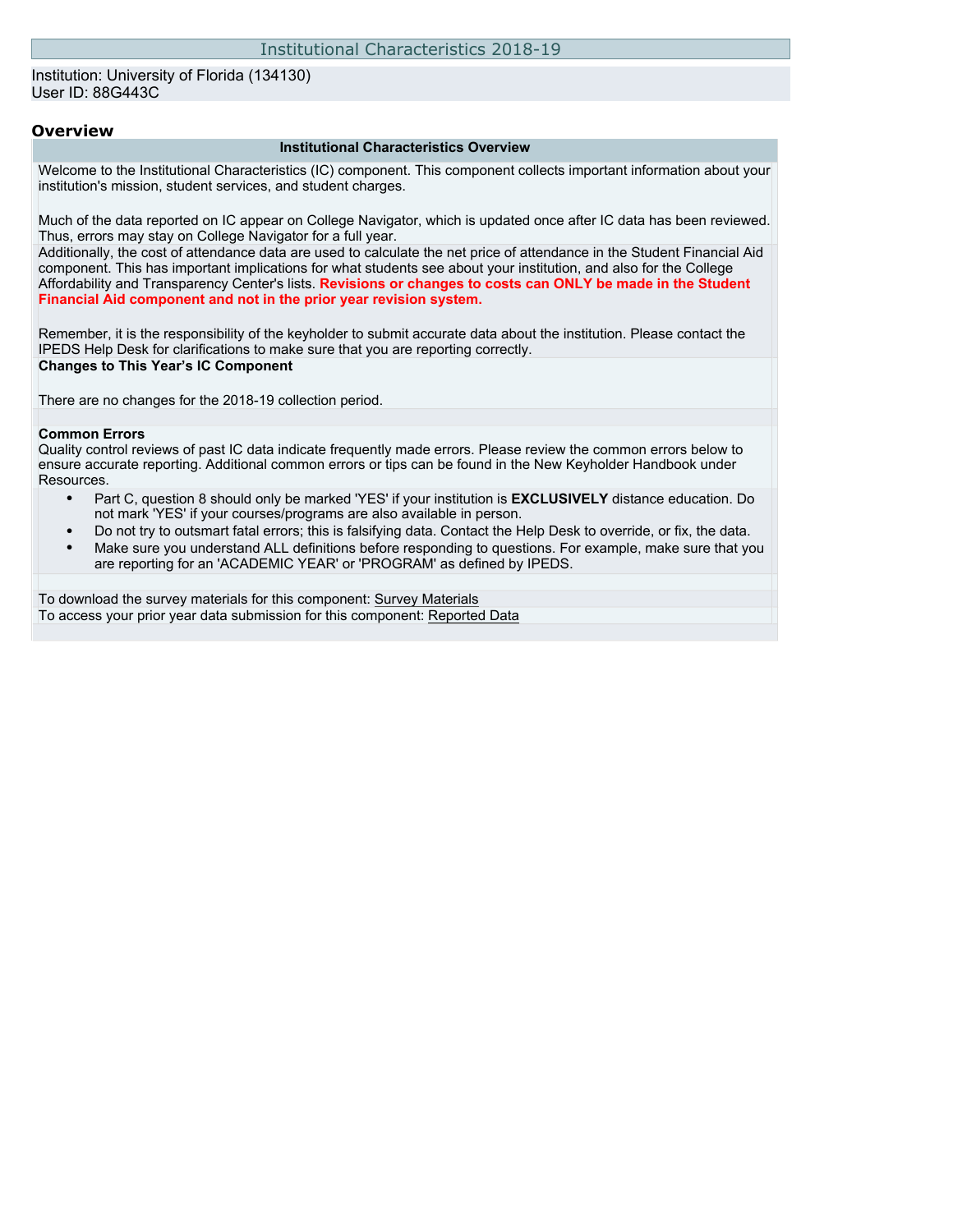### Institution: University of Florida (134130) User ID: 88G443C

### **Overview**

#### **Institutional Characteristics Overview**

Welcome to the Institutional Characteristics (IC) component. This component collects important information about your institution's mission, student services, and student charges.

Much of the data reported on IC appear on College Navigator, which is updated once after IC data has been reviewed. Thus, errors may stay on College Navigator for a full year.

Additionally, the cost of attendance data are used to calculate the net price of attendance in the Student Financial Aid component. This has important implications for what students see about your institution, and also for the College Affordability and Transparency Center's lists. **Revisions or changes to costs can ONLY be made in the Student Financial Aid component and not in the prior year revision system.**

Remember, it is the responsibility of the keyholder to submit accurate data about the institution. Please contact the IPEDS Help Desk for clarifications to make sure that you are reporting correctly. **Changes to This Year's IC Component**

There are no changes for the 2018-19 collection period.

### **Common Errors**

Quality control reviews of past IC data indicate frequently made errors. Please review the common errors below to ensure accurate reporting. Additional common errors or tips can be found in the New Keyholder Handbook under Resources.

- Part C, question 8 should only be marked 'YES' if your institution is **EXCLUSIVELY** distance education. Do not mark 'YES' if your courses/programs are also available in person.
- Do not try to outsmart fatal errors; this is falsifying data. Contact the Help Desk to override, or fix, the data.
- Make sure you understand ALL definitions before responding to questions. For example, make sure that you are reporting for an 'ACADEMIC YEAR' or 'PROGRAM' as defined by IPEDS.

To download the survey materials for this component: [Survey Materials](https://surveys.nces.ed.gov/ipeds/VisIndex.aspx) To access your prior year data submission for this component: [Reported Data](http://192.168.102.153/ipeds/PriorYearDataRedirect.aspx?survey_id=11)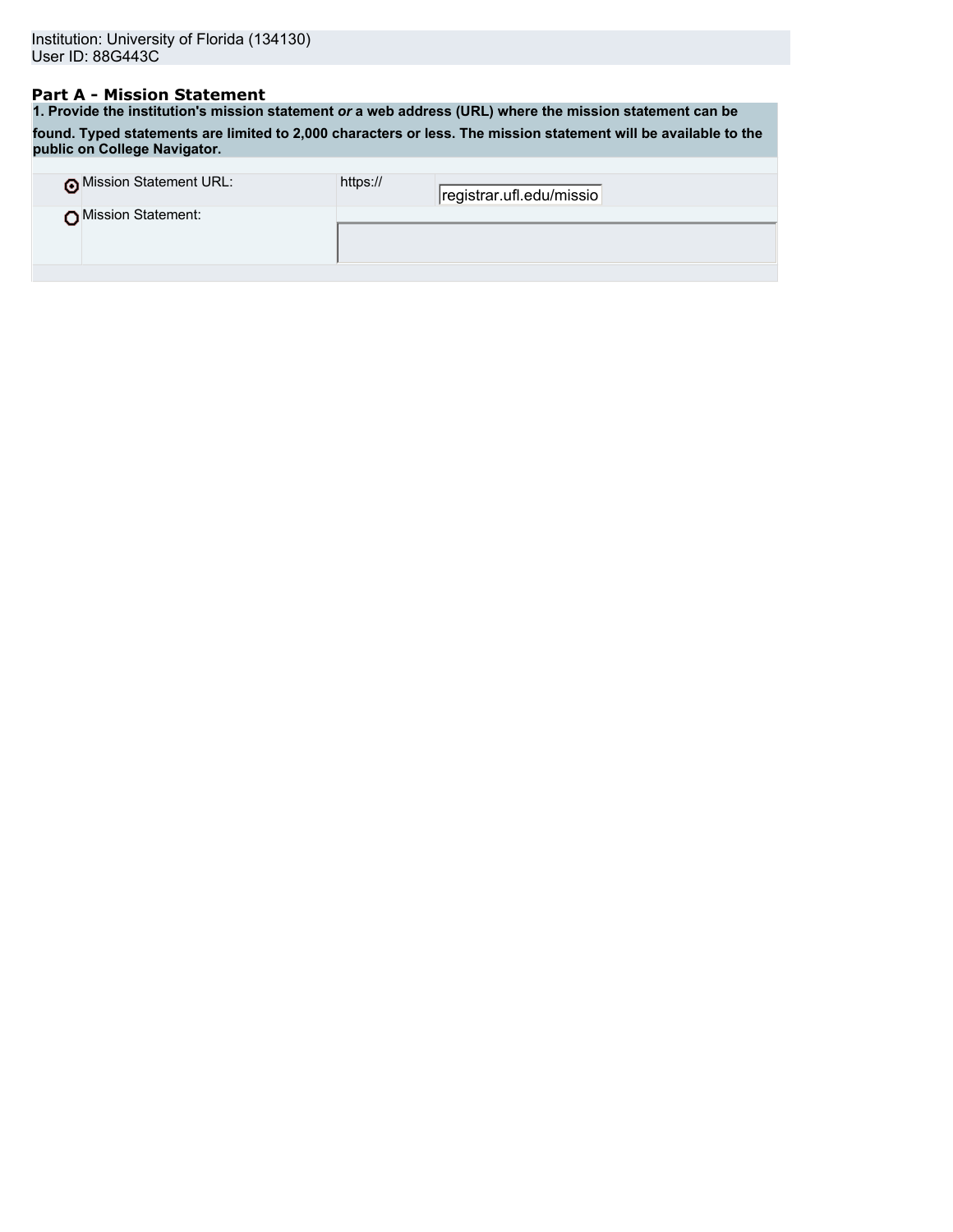## **Part A - Mission Statement**

**1. Provide the institution's mission statement** *or* **a web address (URL) where the mission statement can be found. Typed statements are limited to 2,000 characters or less. The mission statement will be available to the public on College Navigator.**

| o Mission Statement URL: | https:// | registrar.ufl.edu/missio |
|--------------------------|----------|--------------------------|
| ∩Mission Statement:      |          |                          |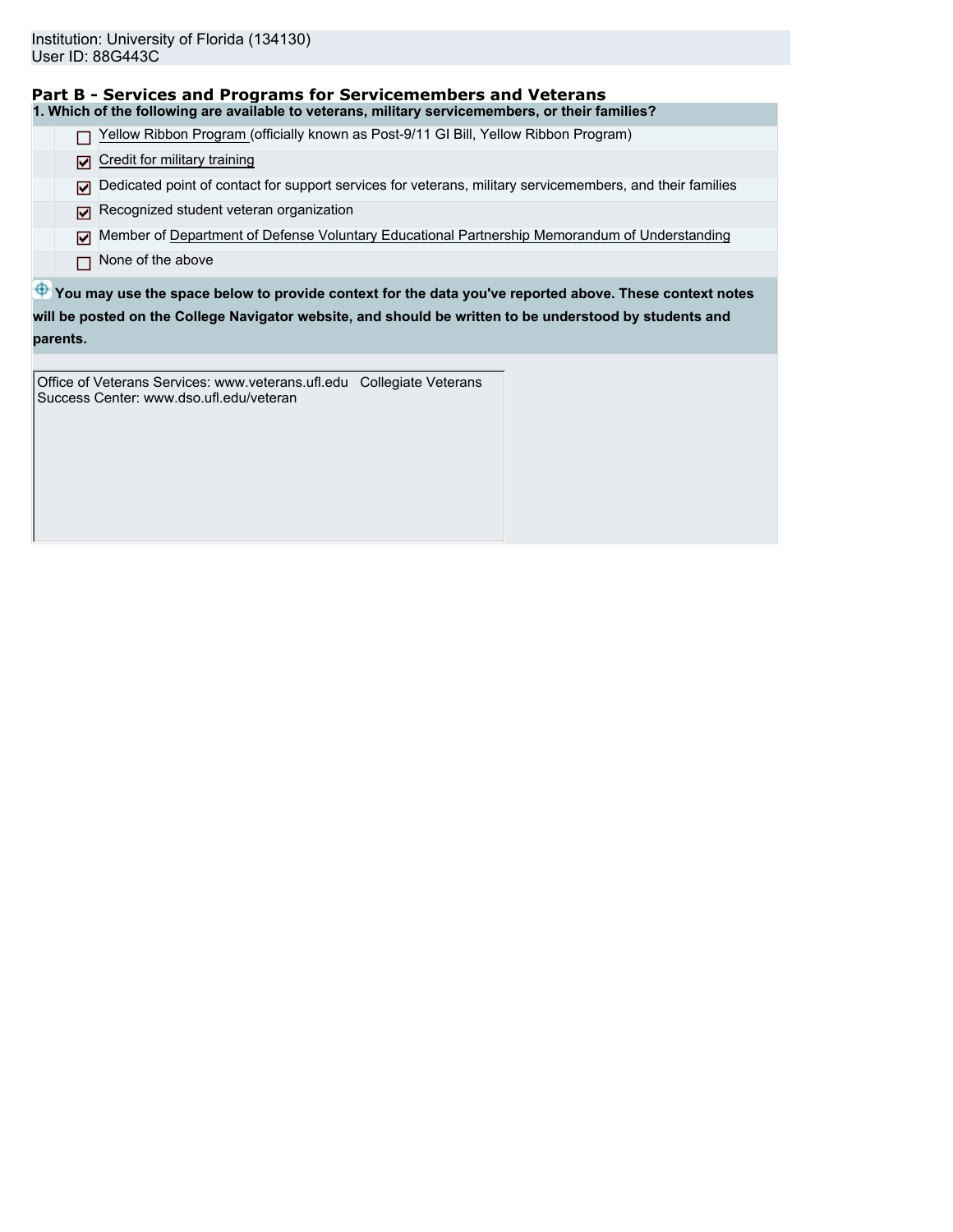| Part B - Services and Programs for Servicemembers and Veterans                                                     |
|--------------------------------------------------------------------------------------------------------------------|
| 1. Which of the following are available to veterans, military servicemembers, or their families?                   |
| Yellow Ribbon Program (officially known as Post-9/11 GI Bill, Yellow Ribbon Program)                               |
| Credit for military training<br>⊡                                                                                  |
| Dedicated point of contact for support services for veterans, military servicemembers, and their families<br>⊡     |
| Recognized student veteran organization                                                                            |
| Member of Department of Defense Voluntary Educational Partnership Memorandum of Understanding<br>⊡                 |
| None of the above                                                                                                  |
| $\bigoplus$ You may use the space below to provide context for the data you've reported above. These context notes |
| will be posted on the College Navigator website, and should be written to be understood by students and            |

**parents.**

Office of Veterans Services: www.veterans.ufl.edu Collegiate Veterans Success Center: www.dso.ufl.edu/veteran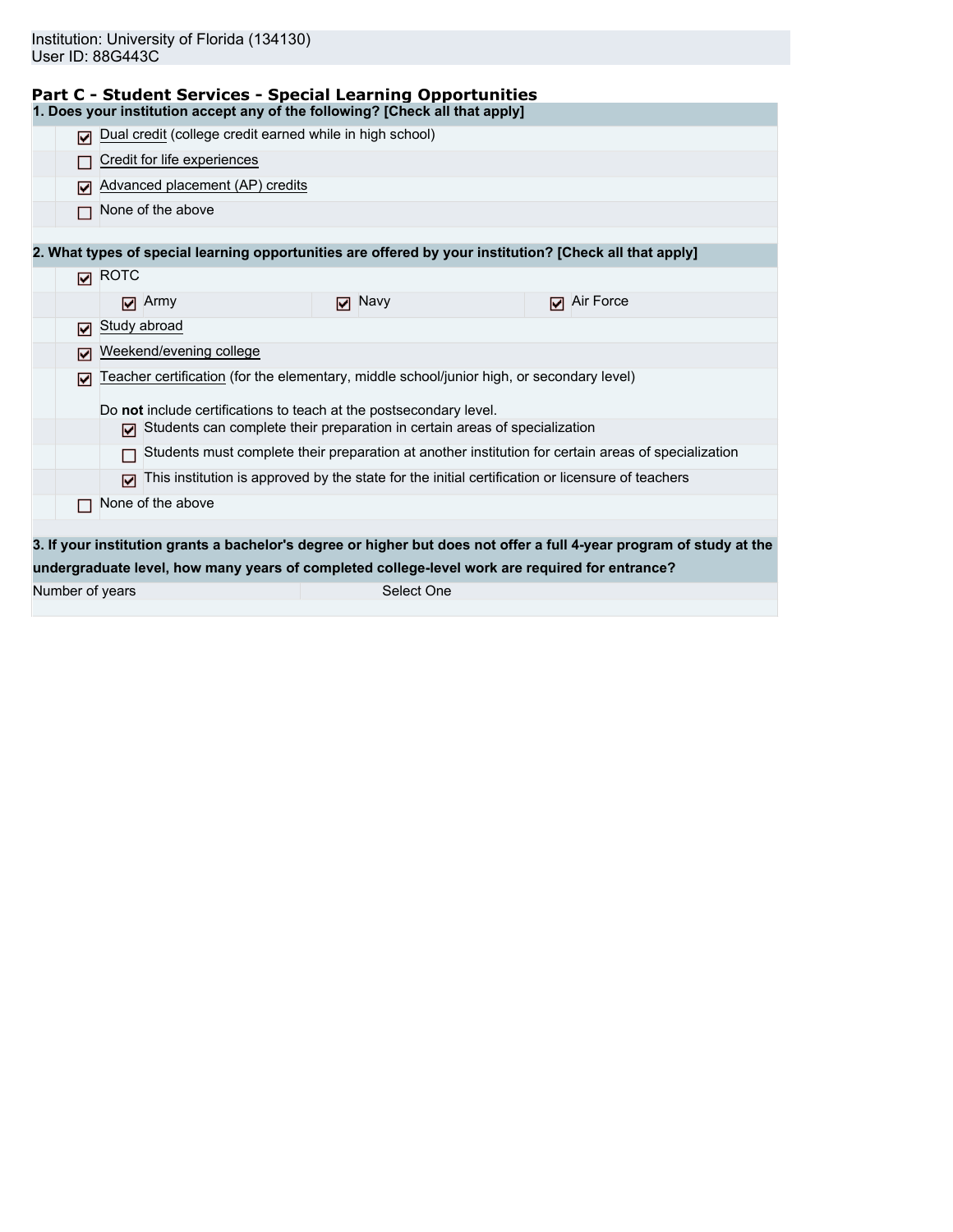| Part C - Student Services - Special Learning Opportunities                      |  |  |
|---------------------------------------------------------------------------------|--|--|
| d. Dess usus institution secont cause files following? [Obsels all that spalu]. |  |  |

|                 | 1. Does your institution accept any of the following? [Check all that apply]                |               |                                                                                                                      |  |
|-----------------|---------------------------------------------------------------------------------------------|---------------|----------------------------------------------------------------------------------------------------------------------|--|
| ⊓               | Dual credit (college credit earned while in high school)                                    |               |                                                                                                                      |  |
|                 | Credit for life experiences                                                                 |               |                                                                                                                      |  |
| М               | Advanced placement (AP) credits                                                             |               |                                                                                                                      |  |
|                 | None of the above                                                                           |               |                                                                                                                      |  |
|                 |                                                                                             |               |                                                                                                                      |  |
|                 |                                                                                             |               | 2. What types of special learning opportunities are offered by your institution? [Check all that apply]              |  |
|                 | $\boxtimes$ ROTC                                                                            |               |                                                                                                                      |  |
|                 | $\Box$ Army                                                                                 | $\nabla$ Navy | Air Force<br>М                                                                                                       |  |
| ⊓               | Study abroad                                                                                |               |                                                                                                                      |  |
| ⊓               | Weekend/evening college                                                                     |               |                                                                                                                      |  |
| ☑               | Teacher certification (for the elementary, middle school/junior high, or secondary level)   |               |                                                                                                                      |  |
|                 | Do not include certifications to teach at the postsecondary level.                          |               |                                                                                                                      |  |
|                 | $\triangleright$ Students can complete their preparation in certain areas of specialization |               |                                                                                                                      |  |
|                 |                                                                                             |               | Students must complete their preparation at another institution for certain areas of specialization                  |  |
|                 | М                                                                                           |               | This institution is approved by the state for the initial certification or licensure of teachers                     |  |
|                 | None of the above                                                                           |               |                                                                                                                      |  |
|                 |                                                                                             |               |                                                                                                                      |  |
|                 |                                                                                             |               | 3. If your institution grants a bachelor's degree or higher but does not offer a full 4-year program of study at the |  |
|                 |                                                                                             |               | undergraduate level, how many years of completed college-level work are required for entrance?                       |  |
| Number of years |                                                                                             | Select One    |                                                                                                                      |  |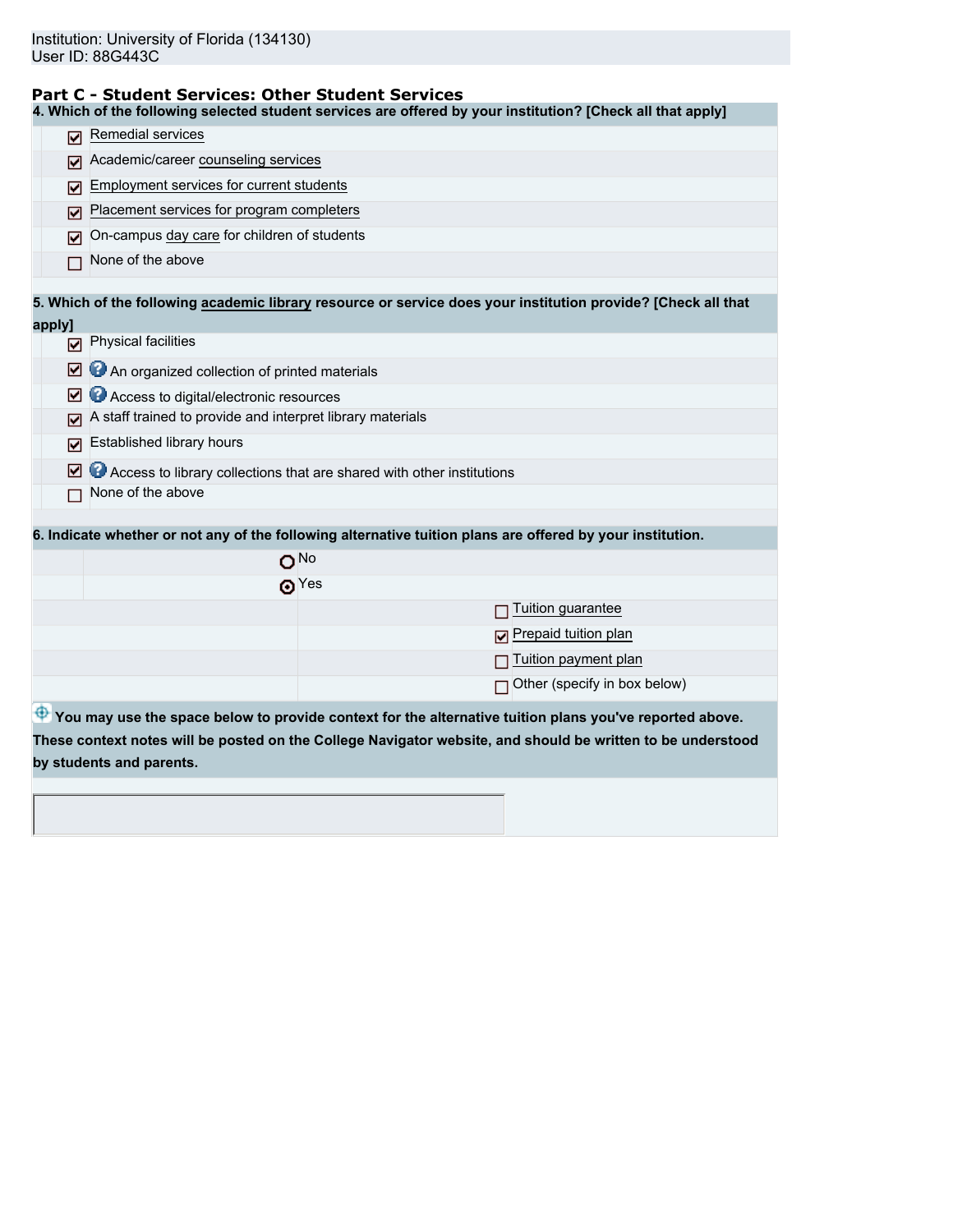### **Part C - Student Services: Other Student Services**

**4. Which of the following selected student services are offered by your institution? [Check all that apply]**

| ⊽      | Remedial services                                                                                             |
|--------|---------------------------------------------------------------------------------------------------------------|
| ☑      | Academic/career counseling services                                                                           |
| M      | Employment services for current students                                                                      |
| ⊽      | Placement services for program completers                                                                     |
| ⊽      | On-campus day care for children of students                                                                   |
|        | None of the above                                                                                             |
|        | 5. Which of the following academic library resource or service does your institution provide? [Check all that |
| apply] |                                                                                                               |
| М      | Physical facilities                                                                                           |
| ☑      | An organized collection of printed materials                                                                  |
| M      | Access to digital/electronic resources                                                                        |
| ⊽      | A staff trained to provide and interpret library materials                                                    |
| ⊽      | Established library hours                                                                                     |
| ☑      | Access to library collections that are shared with other institutions                                         |
|        | None of the above                                                                                             |
|        |                                                                                                               |
|        | 6. Indicate whether or not any of the following alternative tuition plans are offered by your institution.    |
|        | $O^{No}$                                                                                                      |
|        | $\odot$ Yes                                                                                                   |
|        | Tuition guarantee                                                                                             |
|        | Prepaid tuition plan                                                                                          |
|        | Tuition payment plan                                                                                          |
|        | Other (specify in box below)                                                                                  |
|        | P You may use the space below to provide context for the alternative tuition plans you've reported above.     |
|        | These context notes will be posted on the College Navigator website, and should be written to be understood   |
|        | by students and parents.                                                                                      |
|        |                                                                                                               |
|        |                                                                                                               |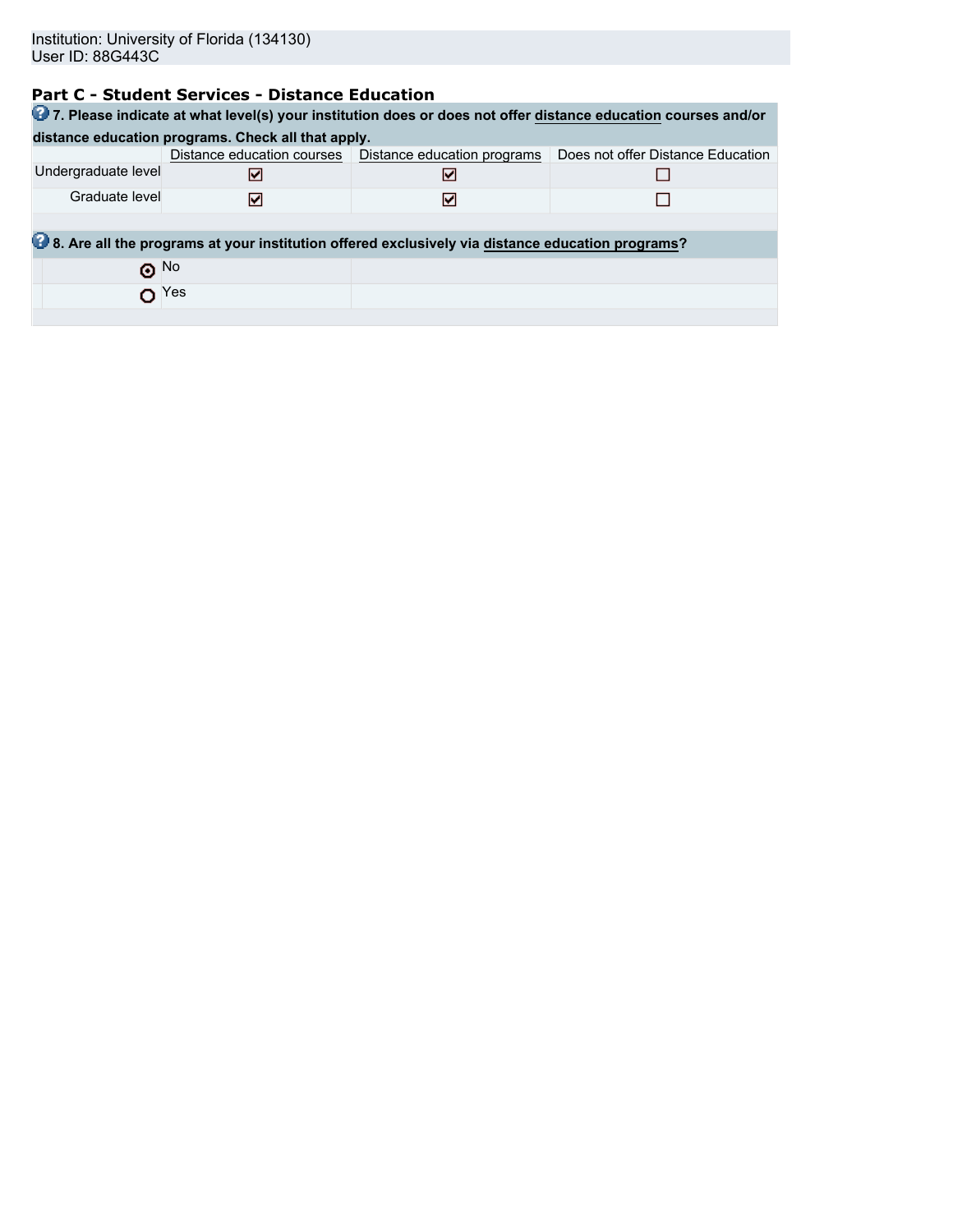# **Part C - Student Services - Distance Education**

| 27. Please indicate at what level(s) your institution does or does not offer distance education courses and/or |                                                    |                                                                                                  |                                   |  |  |  |  |  |
|----------------------------------------------------------------------------------------------------------------|----------------------------------------------------|--------------------------------------------------------------------------------------------------|-----------------------------------|--|--|--|--|--|
|                                                                                                                | distance education programs. Check all that apply. |                                                                                                  |                                   |  |  |  |  |  |
|                                                                                                                |                                                    | Distance education courses   Distance education programs                                         | Does not offer Distance Education |  |  |  |  |  |
| Undergraduate level                                                                                            | м                                                  | м                                                                                                |                                   |  |  |  |  |  |
| Graduate level                                                                                                 | ☑                                                  | м                                                                                                |                                   |  |  |  |  |  |
|                                                                                                                |                                                    |                                                                                                  |                                   |  |  |  |  |  |
|                                                                                                                |                                                    | 8. Are all the programs at your institution offered exclusively via distance education programs? |                                   |  |  |  |  |  |
| $\odot$ No                                                                                                     |                                                    |                                                                                                  |                                   |  |  |  |  |  |
| $\mathbf{O}$ Yes                                                                                               |                                                    |                                                                                                  |                                   |  |  |  |  |  |
|                                                                                                                |                                                    |                                                                                                  |                                   |  |  |  |  |  |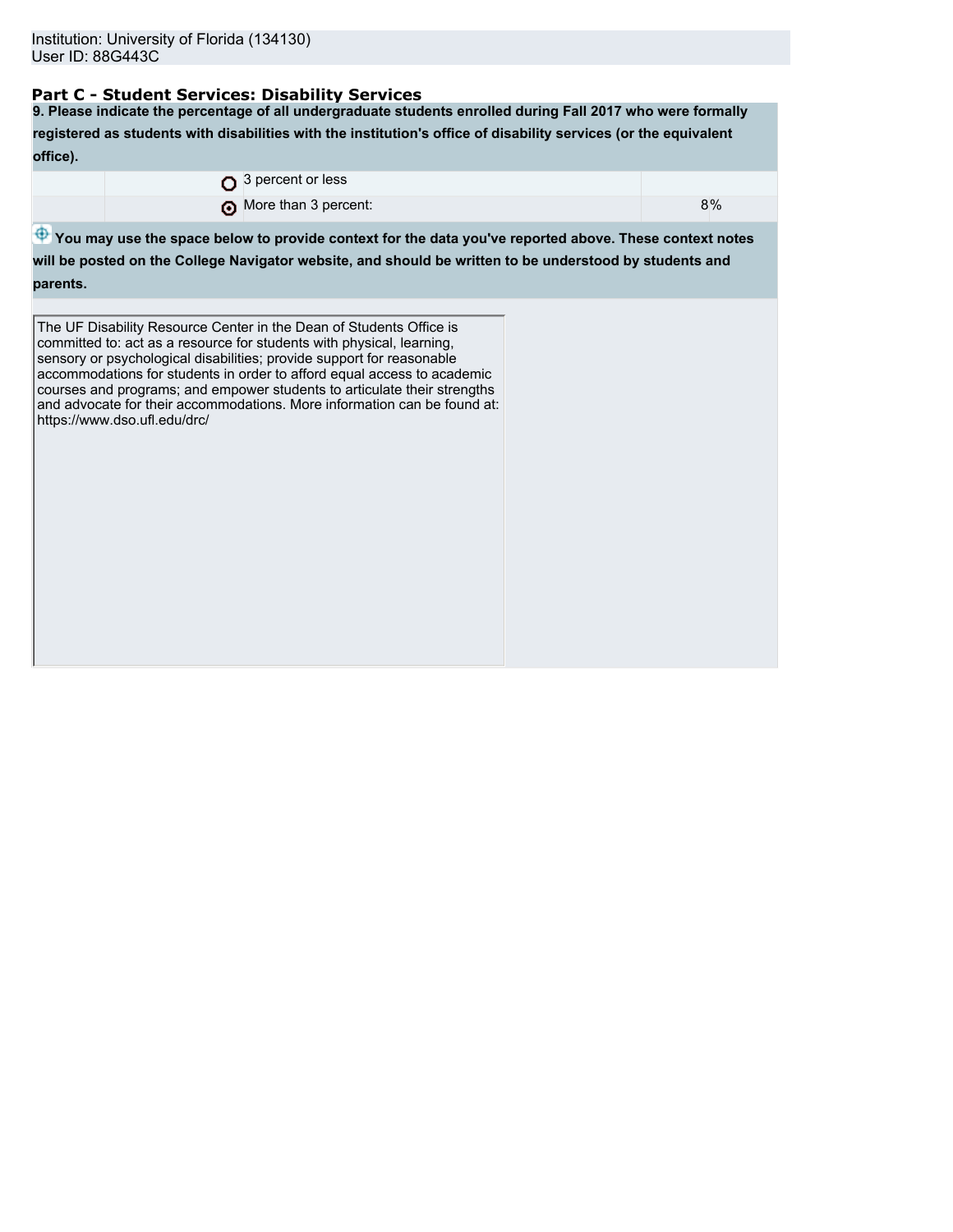## **Part C - Student Services: Disability Services**

**9. Please indicate the percentage of all undergraduate students enrolled during Fall 2017 who were formally registered as students with disabilities with the institution's office of disability services (or the equivalent office).**

|  | $\Omega$ 3 percent or less |    |
|--|----------------------------|----|
|  | More than 3 percent:       | 8% |

 $\bigoplus$  **You may use the space below to provide context for the data you've reported above. These context notes** 

**will be posted on the College Navigator website, and should be written to be understood by students and parents.**

The UF Disability Resource Center in the Dean of Students Office is committed to: act as a resource for students with physical, learning, sensory or psychological disabilities; provide support for reasonable accommodations for students in order to afford equal access to academic courses and programs; and empower students to articulate their strengths and advocate for their accommodations. More information can be found at: https://www.dso.ufl.edu/drc/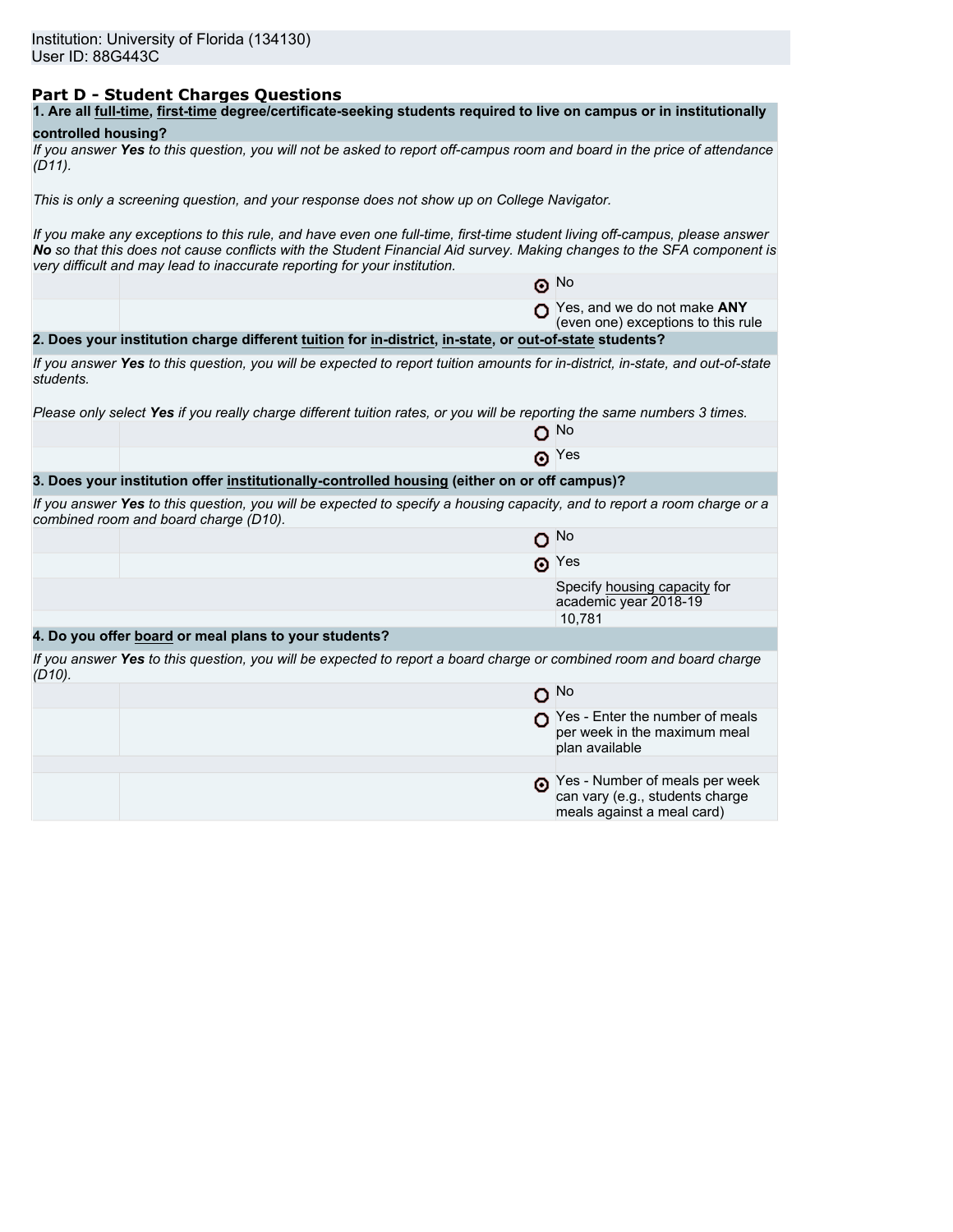## **Part D - Student Charges Questions**

| 1. Are all full-time, first-time degree/certificate-seeking students required to live on campus or in institutionally |
|-----------------------------------------------------------------------------------------------------------------------|
|-----------------------------------------------------------------------------------------------------------------------|

## **controlled housing?**

|           | If you answer Yes to this question, you will not be asked to report off-campus room and board in the price of attendance |  |  |
|-----------|--------------------------------------------------------------------------------------------------------------------------|--|--|
| $(D11)$ . |                                                                                                                          |  |  |

*This is only a screening question, and your response does not show up on College Navigator.*

*If you make any exceptions to this rule, and have even one full-time, first-time student living off-campus, please answer No so that this does not cause conflicts with the Student Financial Aid survey. Making changes to the SFA component is very difficult and may lead to inaccurate reporting for your institution.*

|           |                                                                                                                                                                   | $\odot$ No                                                                                      |
|-----------|-------------------------------------------------------------------------------------------------------------------------------------------------------------------|-------------------------------------------------------------------------------------------------|
|           |                                                                                                                                                                   | Yes, and we do not make ANY<br>(even one) exceptions to this rule                               |
|           | 2. Does your institution charge different tuition for in-district, in-state, or out-of-state students?                                                            |                                                                                                 |
| students. | If you answer Yes to this question, you will be expected to report tuition amounts for in-district, in-state, and out-of-state                                    |                                                                                                 |
|           | Please only select Yes if you really charge different tuition rates, or you will be reporting the same numbers 3 times.                                           |                                                                                                 |
|           |                                                                                                                                                                   | ∩ №                                                                                             |
|           |                                                                                                                                                                   | $\odot$ Yes                                                                                     |
|           | 3. Does your institution offer institutionally-controlled housing (either on or off campus)?                                                                      |                                                                                                 |
|           | If you answer Yes to this question, you will be expected to specify a housing capacity, and to report a room charge or a<br>combined room and board charge (D10). |                                                                                                 |
|           |                                                                                                                                                                   | $O$ No                                                                                          |
|           |                                                                                                                                                                   | $\odot$ Yes                                                                                     |
|           |                                                                                                                                                                   | Specify housing capacity for<br>academic year 2018-19                                           |
|           |                                                                                                                                                                   | 10,781                                                                                          |
|           | 4. Do you offer board or meal plans to your students?                                                                                                             |                                                                                                 |
| $(D10)$ . | If you answer Yes to this question, you will be expected to report a board charge or combined room and board charge                                               |                                                                                                 |
|           |                                                                                                                                                                   | $O$ No                                                                                          |
|           |                                                                                                                                                                   | $\bigcap$ Yes - Enter the number of meals<br>per week in the maximum meal<br>plan available     |
|           |                                                                                                                                                                   |                                                                                                 |
|           |                                                                                                                                                                   | Yes - Number of meals per week<br>can vary (e.g., students charge<br>meals against a meal card) |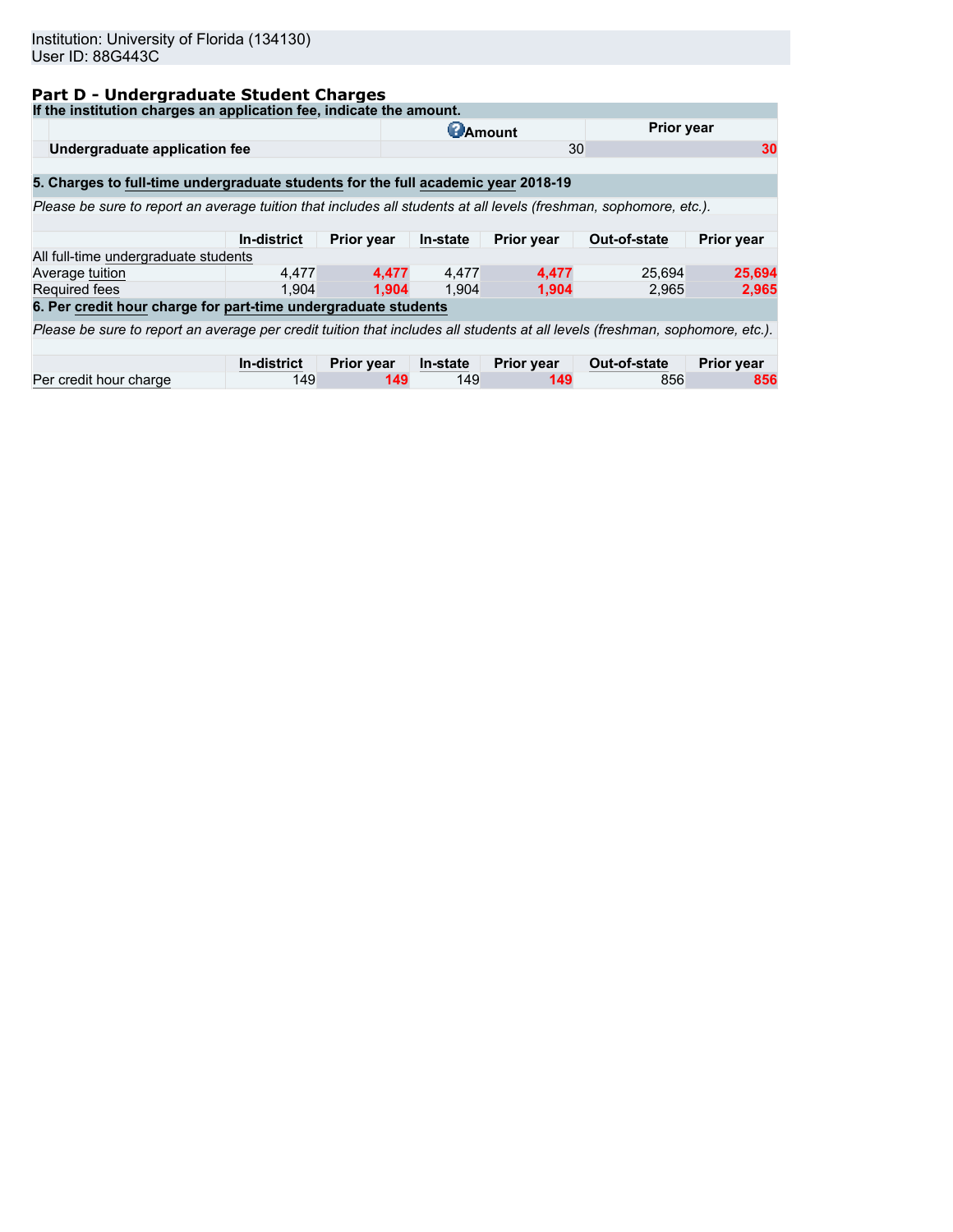## **Part D - Undergraduate Student Charges**

| If the institution charges an application fee, indicate the amount.                                                          |                    |                   |                 |            |              |                   |  |
|------------------------------------------------------------------------------------------------------------------------------|--------------------|-------------------|-----------------|------------|--------------|-------------------|--|
|                                                                                                                              |                    |                   | <b>C</b> Amount |            | Prior year   |                   |  |
| Undergraduate application fee                                                                                                |                    |                   |                 | 30         |              | 30                |  |
|                                                                                                                              |                    |                   |                 |            |              |                   |  |
| 5. Charges to full-time undergraduate students for the full academic year 2018-19                                            |                    |                   |                 |            |              |                   |  |
| Please be sure to report an average tuition that includes all students at all levels (freshman, sophomore, etc.).            |                    |                   |                 |            |              |                   |  |
|                                                                                                                              |                    |                   |                 |            |              |                   |  |
|                                                                                                                              | In-district        | <b>Prior year</b> | In-state        | Prior year | Out-of-state | <b>Prior year</b> |  |
| All full-time undergraduate students                                                                                         |                    |                   |                 |            |              |                   |  |
| Average tuition                                                                                                              | 4.477              | 4.477             | 4.477           | 4.477      | 25.694       | 25,694            |  |
| <b>Required fees</b>                                                                                                         | 1.904              | 1.904             | 1.904           | 1.904      | 2.965        | 2,965             |  |
| 6. Per credit hour charge for part-time undergraduate students                                                               |                    |                   |                 |            |              |                   |  |
| Please be sure to report an average per credit tuition that includes all students at all levels (freshman, sophomore, etc.). |                    |                   |                 |            |              |                   |  |
|                                                                                                                              |                    |                   |                 |            |              |                   |  |
|                                                                                                                              | <b>In-district</b> | <b>Prior year</b> | In-state        | Prior year | Out-of-state | <b>Prior year</b> |  |
| Per credit hour charge                                                                                                       | 149                | 149               | 149             | 149        | 856          | 856               |  |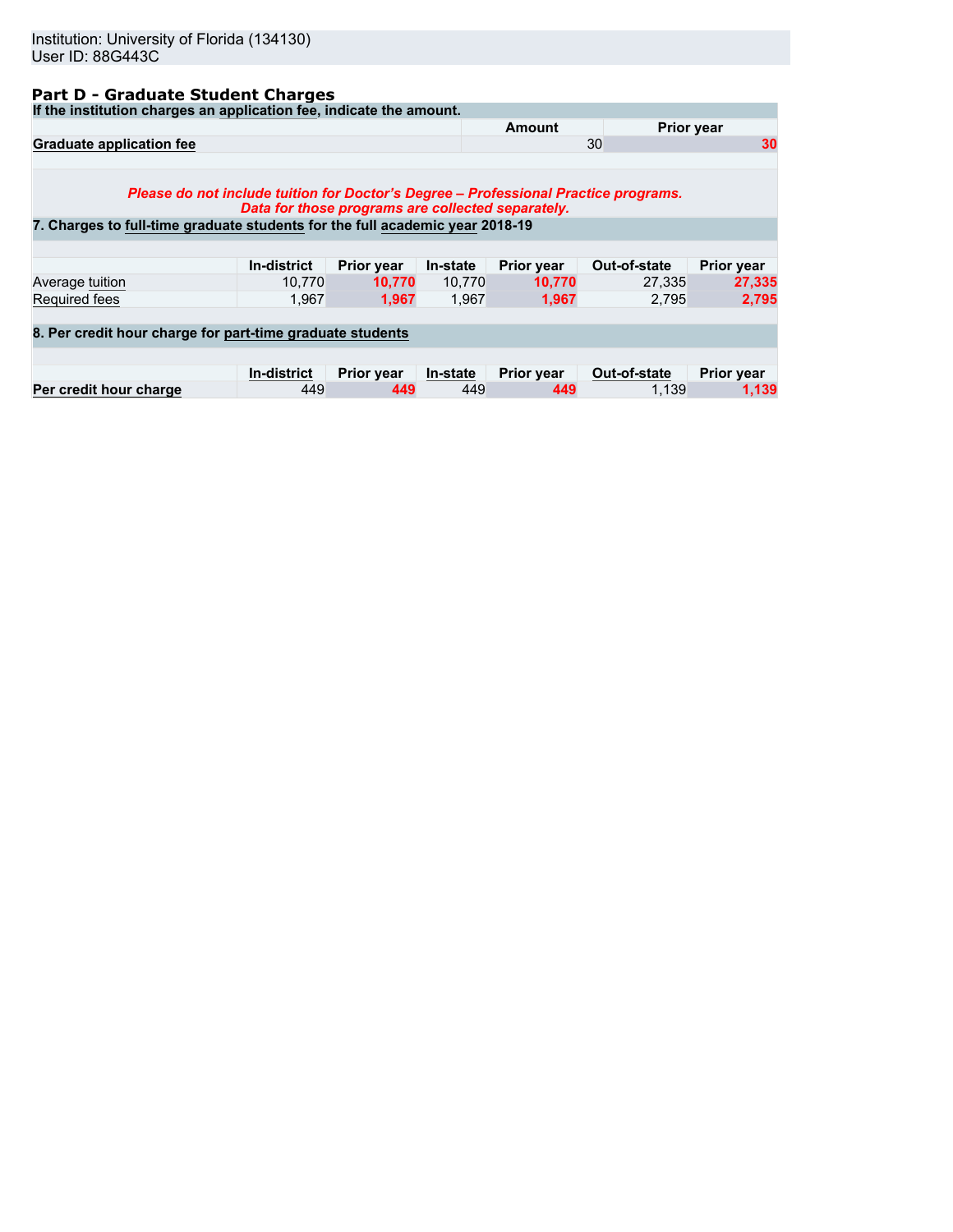## **Part D - Graduate Student Charges**

**If the institution charges an application fee, indicate the amount.**

| ii the modulum charges an application lee, indicate the amount.                                                                                                     |                                                   |                   |          |                   |              |                   |
|---------------------------------------------------------------------------------------------------------------------------------------------------------------------|---------------------------------------------------|-------------------|----------|-------------------|--------------|-------------------|
|                                                                                                                                                                     |                                                   |                   |          | Amount            |              | <b>Prior year</b> |
| <b>Graduate application fee</b>                                                                                                                                     |                                                   |                   |          |                   | 30           | 30                |
| Please do not include tuition for Doctor's Degree - Professional Practice programs.<br>7. Charges to full-time graduate students for the full academic year 2018-19 | Data for those programs are collected separately. |                   |          |                   |              |                   |
|                                                                                                                                                                     |                                                   |                   |          |                   |              |                   |
|                                                                                                                                                                     | <b>In-district</b>                                | <b>Prior year</b> | In-state | <b>Prior year</b> | Out-of-state | <b>Prior year</b> |
| Average tuition                                                                                                                                                     | 10.770                                            | 10.770            | 10,770   | 10,770            | 27.335       | 27,335            |
| Required fees                                                                                                                                                       | 1.967                                             | 1,967             | 1,967    | 1,967             | 2.795        | 2,795             |
|                                                                                                                                                                     |                                                   |                   |          |                   |              |                   |
| 8. Per credit hour charge for part-time graduate students                                                                                                           |                                                   |                   |          |                   |              |                   |
|                                                                                                                                                                     |                                                   |                   |          |                   |              |                   |
|                                                                                                                                                                     | <b>In-district</b>                                | <b>Prior year</b> | In-state | Prior year        | Out-of-state | Prior year        |
| Per credit hour charge                                                                                                                                              | 449                                               | 449               | 449      | 449               | 1.139        | 1,139             |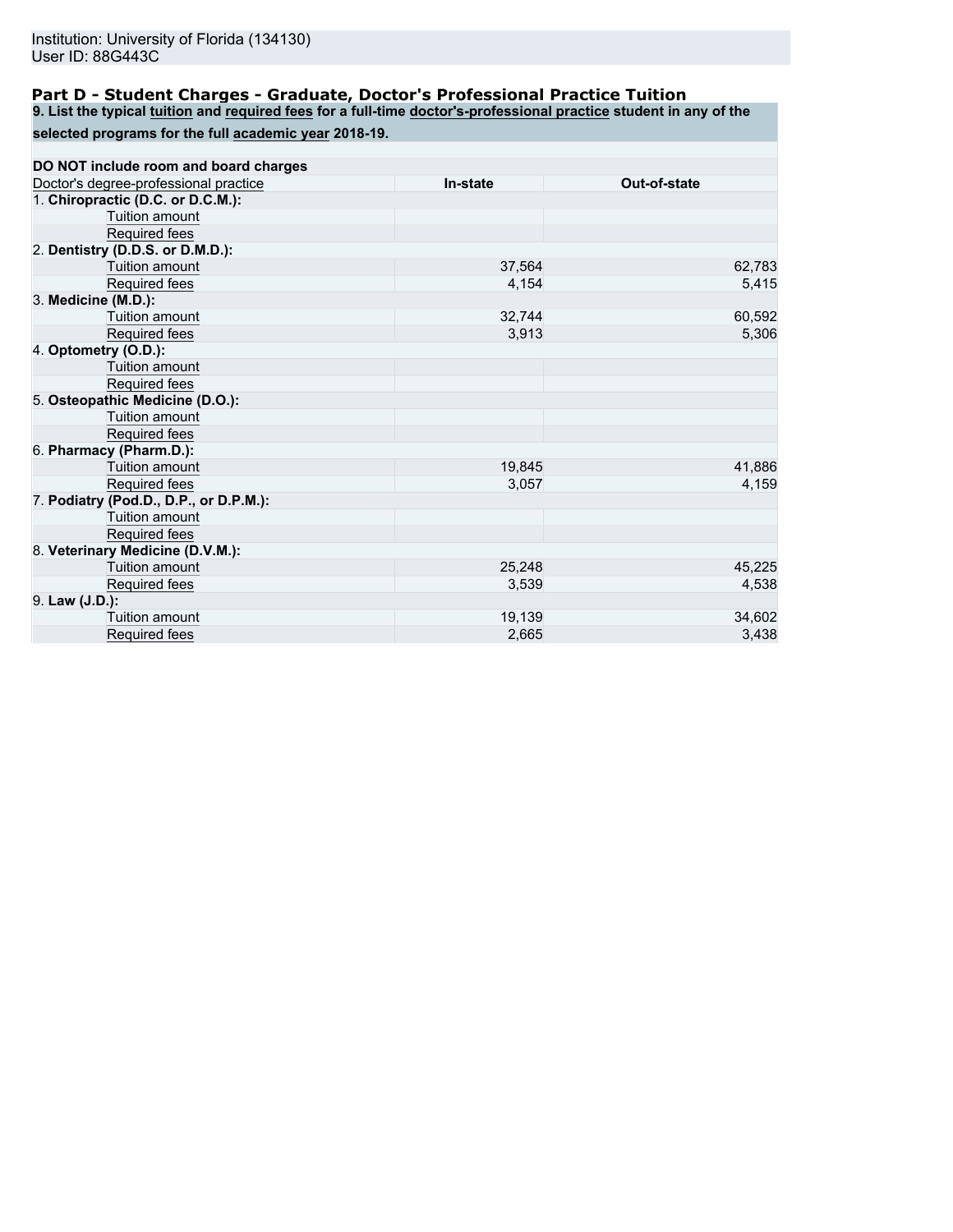## **Part D - Student Charges - Graduate, Doctor's Professional Practice Tuition**

**9. List the typical tuition and required fees for a full-time doctor's-professional practice student in any of the**

**selected programs for the full academic year 2018-19.**

| DO NOT include room and board charges  |          |              |
|----------------------------------------|----------|--------------|
| Doctor's degree-professional practice  | In-state | Out-of-state |
| 1. Chiropractic (D.C. or D.C.M.):      |          |              |
| Tuition amount                         |          |              |
| Required fees                          |          |              |
| 2. Dentistry (D.D.S. or D.M.D.):       |          |              |
| Tuition amount                         | 37,564   | 62,783       |
| Required fees                          | 4,154    | 5,415        |
| 3. Medicine (M.D.):                    |          |              |
| Tuition amount                         | 32,744   | 60,592       |
| Required fees                          | 3,913    | 5,306        |
| 4. Optometry (O.D.):                   |          |              |
| Tuition amount                         |          |              |
| Required fees                          |          |              |
| 5. Osteopathic Medicine (D.O.):        |          |              |
| Tuition amount                         |          |              |
| Required fees                          |          |              |
| 6. Pharmacy (Pharm.D.):                |          |              |
| <b>Tuition amount</b>                  | 19,845   | 41,886       |
| Required fees                          | 3,057    | 4,159        |
| 7. Podiatry (Pod.D., D.P., or D.P.M.): |          |              |
| Tuition amount                         |          |              |
| Required fees                          |          |              |
| 8. Veterinary Medicine (D.V.M.):       |          |              |
| Tuition amount                         | 25,248   | 45,225       |
| Required fees                          | 3,539    | 4,538        |
| 9. Law (J.D.):                         |          |              |
| Tuition amount                         | 19,139   | 34,602       |
| Required fees                          | 2,665    | 3,438        |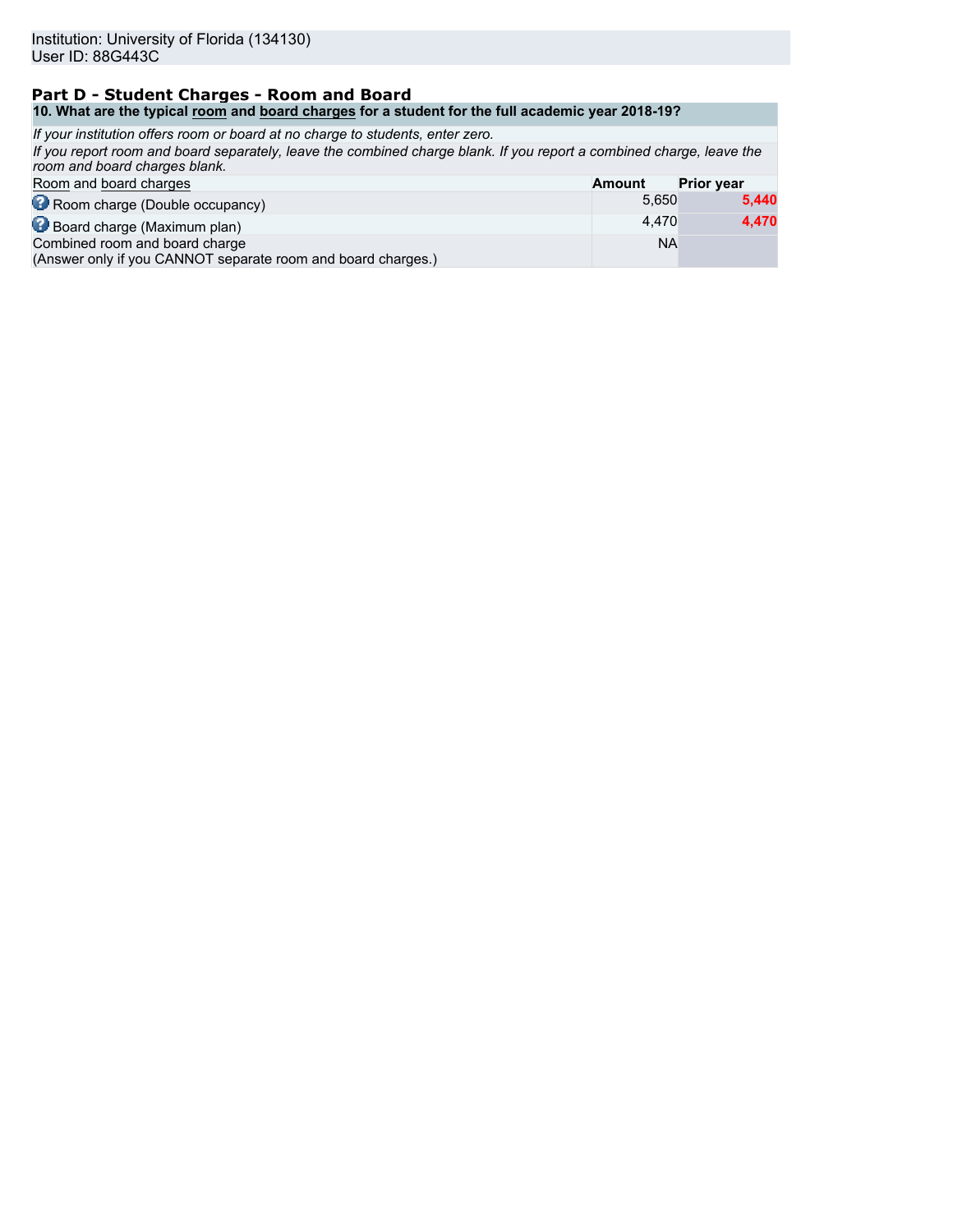### **Part D - Student Charges - Room and Board 10. What are the typical room and board charges for a student for the full academic year 2018-19?**

| If your institution offers room or board at no charge to students, enter zero.                                                                        |               |                   |
|-------------------------------------------------------------------------------------------------------------------------------------------------------|---------------|-------------------|
| If you report room and board separately, leave the combined charge blank. If you report a combined charge, leave the<br>room and board charges blank. |               |                   |
| Room and board charges                                                                                                                                | <b>Amount</b> | <b>Prior year</b> |
| Room charge (Double occupancy)                                                                                                                        | 5,650         | 5,440             |
| Board charge (Maximum plan)                                                                                                                           | 4.470         | 4,470             |
| Combined room and board charge<br>(Answer only if you CANNOT separate room and board charges.)                                                        | ΝA            |                   |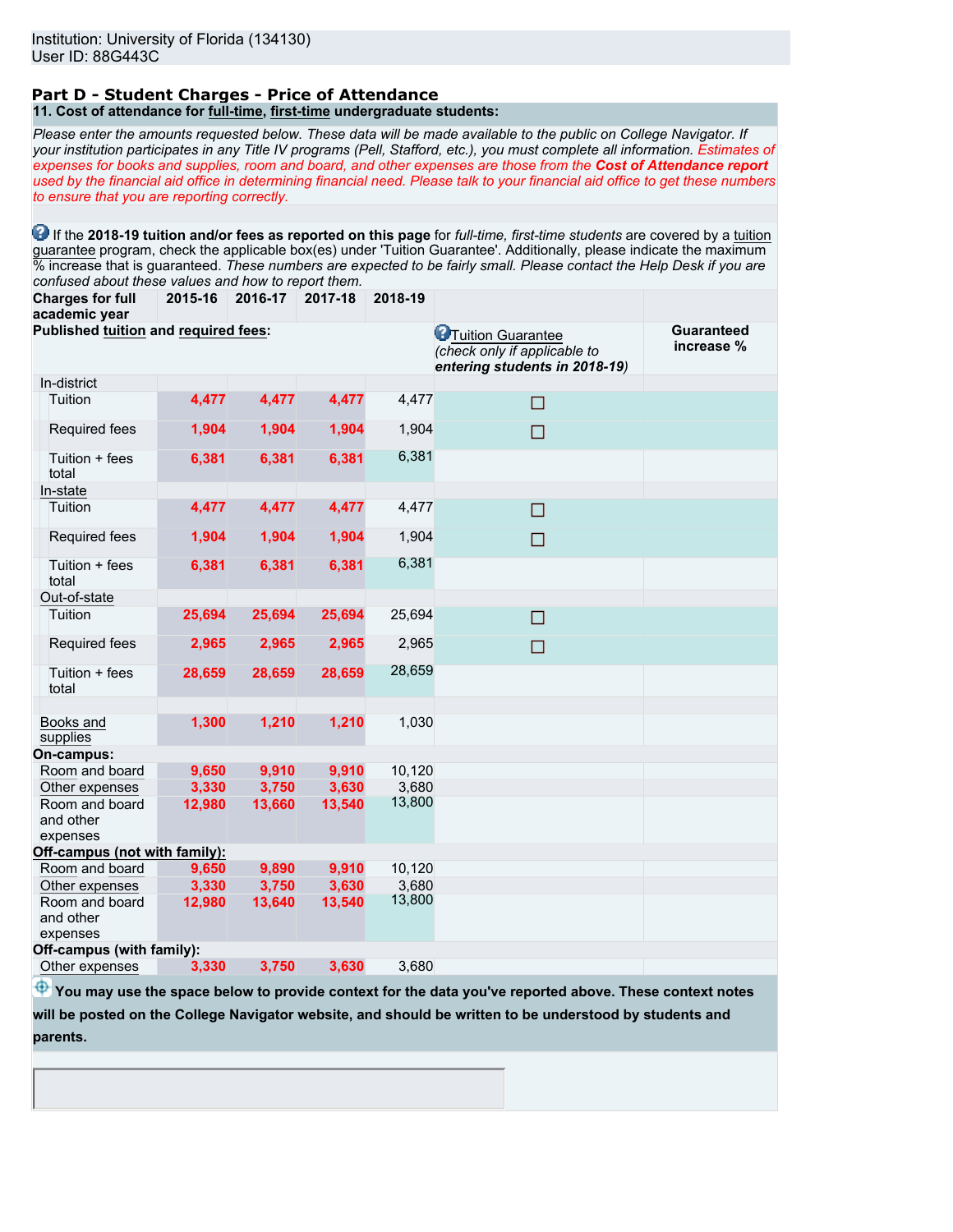### **Part D - Student Charges - Price of Attendance 11. Cost of attendance for full-time, first-time undergraduate students:**

*Please enter the amounts requested below. These data will be made available to the public on College Navigator. If your institution participates in any Title IV programs (Pell, Stafford, etc.), you must complete all information. Estimates of expenses for books and supplies, room and board, and other expenses are those from the Cost of Attendance report used by the financial aid office in determining financial need. Please talk to your financial aid office to get these numbers to ensure that you are reporting correctly.*

**1** If the 2018-19 tuition and/or fees as reported on this page for *full-time, first-time students* are covered by a tuition guarantee program, check the applicable box(es) under 'Tuition Guarantee'. Additionally, please indicate the maximum % increase that is guaranteed. *These numbers are expected to be fairly small. Please contact the Help Desk if you are confused about these values and how to report them.*

**Charges for full academic year 2015-16 2016-17 2017-18 2018-19**

|                                      | acauennc year                           |        |                                                                                             |                                 |        |        |  |
|--------------------------------------|-----------------------------------------|--------|---------------------------------------------------------------------------------------------|---------------------------------|--------|--------|--|
| Published tuition and required fees: |                                         |        | <b>P</b> Tuition Guarantee<br>(check only if applicable to<br>entering students in 2018-19) | <b>Guaranteed</b><br>increase % |        |        |  |
|                                      | In-district                             |        |                                                                                             |                                 |        |        |  |
|                                      | Tuition                                 | 4,477  | 4,477                                                                                       | 4,477                           | 4,477  | П      |  |
|                                      | Required fees                           | 1,904  | 1,904                                                                                       | 1,904                           | 1,904  | $\Box$ |  |
|                                      | Tuition + fees<br>total                 | 6,381  | 6,381                                                                                       | 6,381                           | 6,381  |        |  |
|                                      | In-state                                |        |                                                                                             |                                 |        |        |  |
|                                      | Tuition                                 | 4,477  | 4,477                                                                                       | 4,477                           | 4,477  | $\Box$ |  |
|                                      | Required fees                           | 1,904  | 1,904                                                                                       | 1,904                           | 1,904  | П      |  |
|                                      | Tuition + fees<br>total                 | 6,381  | 6,381                                                                                       | 6,381                           | 6,381  |        |  |
|                                      | Out-of-state                            |        |                                                                                             |                                 |        |        |  |
|                                      | Tuition                                 | 25,694 | 25,694                                                                                      | 25,694                          | 25,694 | □      |  |
|                                      | Required fees                           | 2,965  | 2,965                                                                                       | 2,965                           | 2,965  | $\Box$ |  |
|                                      | Tuition + fees<br>total                 | 28,659 | 28,659                                                                                      | 28,659                          | 28,659 |        |  |
|                                      | Books and<br>supplies                   | 1,300  | 1,210                                                                                       | 1,210                           | 1,030  |        |  |
|                                      | On-campus:                              |        |                                                                                             |                                 |        |        |  |
|                                      | Room and board                          | 9,650  | 9,910                                                                                       | 9,910                           | 10,120 |        |  |
|                                      | Other expenses                          | 3,330  | 3,750                                                                                       | 3,630                           | 3,680  |        |  |
|                                      | Room and board<br>and other<br>expenses | 12,980 | 13,660                                                                                      | 13,540                          | 13,800 |        |  |
|                                      | Off-campus (not with family):           |        |                                                                                             |                                 |        |        |  |
|                                      | Room and board                          | 9,650  | 9,890                                                                                       | 9,910                           | 10,120 |        |  |
|                                      | Other expenses                          | 3,330  | 3,750                                                                                       | 3,630                           | 3,680  |        |  |
|                                      | Room and board<br>and other<br>expenses | 12,980 | 13,640                                                                                      | 13,540                          | 13,800 |        |  |
|                                      | Off-campus (with family):               |        |                                                                                             |                                 |        |        |  |
|                                      | Other expenses                          | 3,330  | 3,750                                                                                       | 3.630                           | 3,680  |        |  |

 $\bigoplus$  **You may use the space below to provide context for the data you've reported above. These context notes** 

**will be posted on the College Navigator website, and should be written to be understood by students and**

**parents.**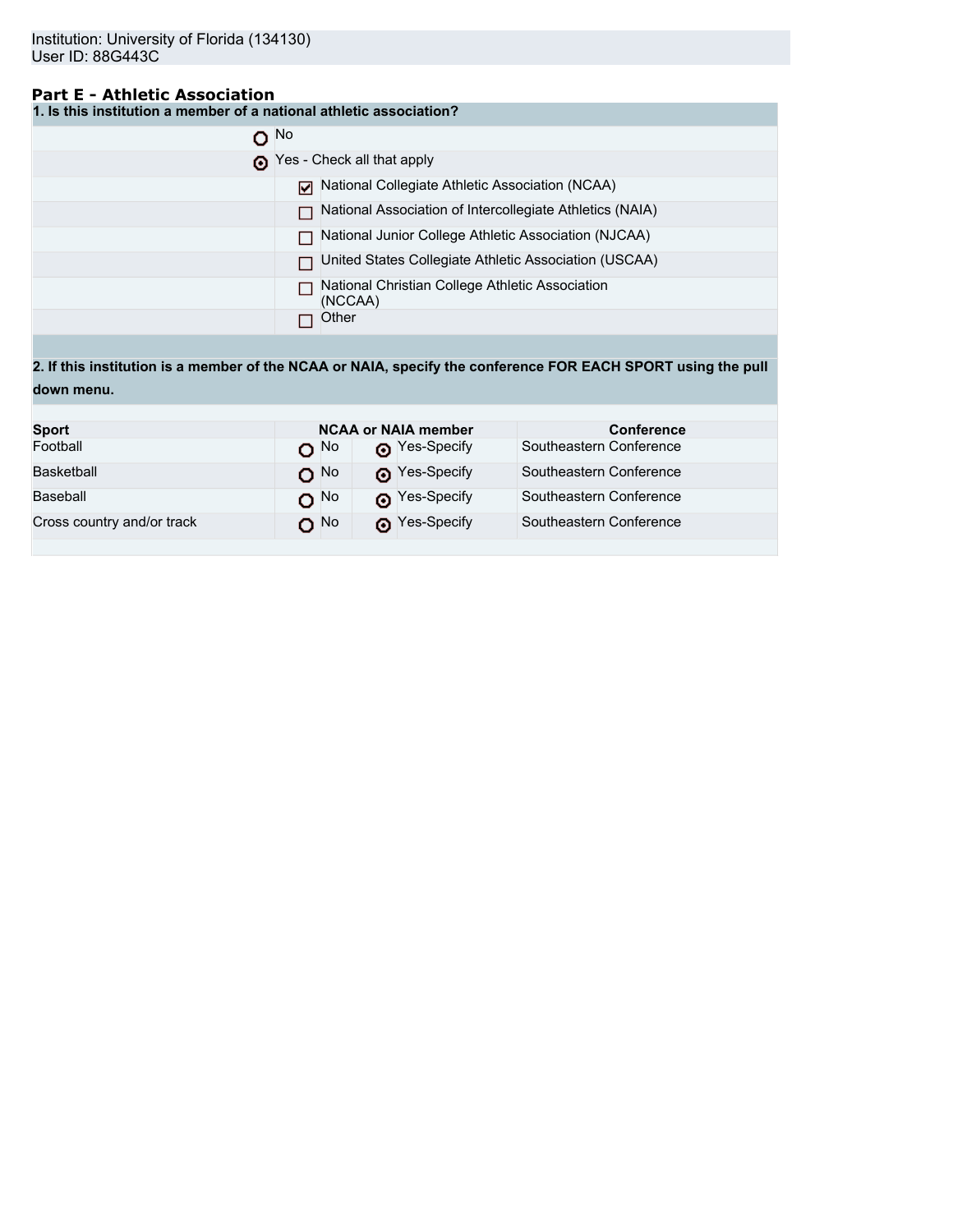## **Part E - Athletic Association**

**1. Is this institution a member of a national athletic association?**

| $\Omega$ No |                                                            |
|-------------|------------------------------------------------------------|
|             | Yes - Check all that apply                                 |
|             | National Collegiate Athletic Association (NCAA)            |
|             | National Association of Intercollegiate Athletics (NAIA)   |
|             | National Junior College Athletic Association (NJCAA)       |
|             | United States Collegiate Athletic Association (USCAA)      |
|             | National Christian College Athletic Association<br>(NCCAA) |
|             | Other                                                      |

**2. If this institution is a member of the NCAA or NAIA, specify the conference FOR EACH SPORT using the pull down menu.**

| <b>Sport</b>               |                 | <b>NCAA or NAIA member</b> | <b>Conference</b>       |
|----------------------------|-----------------|----------------------------|-------------------------|
| Football                   | റ <sup>No</sup> | Pes-Specify                | Southeastern Conference |
| Basketball                 | O <sub>No</sub> | Pes-Specify                | Southeastern Conference |
| Baseball                   | $O^{No}$        | Nes-Specify                | Southeastern Conference |
| Cross country and/or track | O No            | Pes-Specify                | Southeastern Conference |
|                            |                 |                            |                         |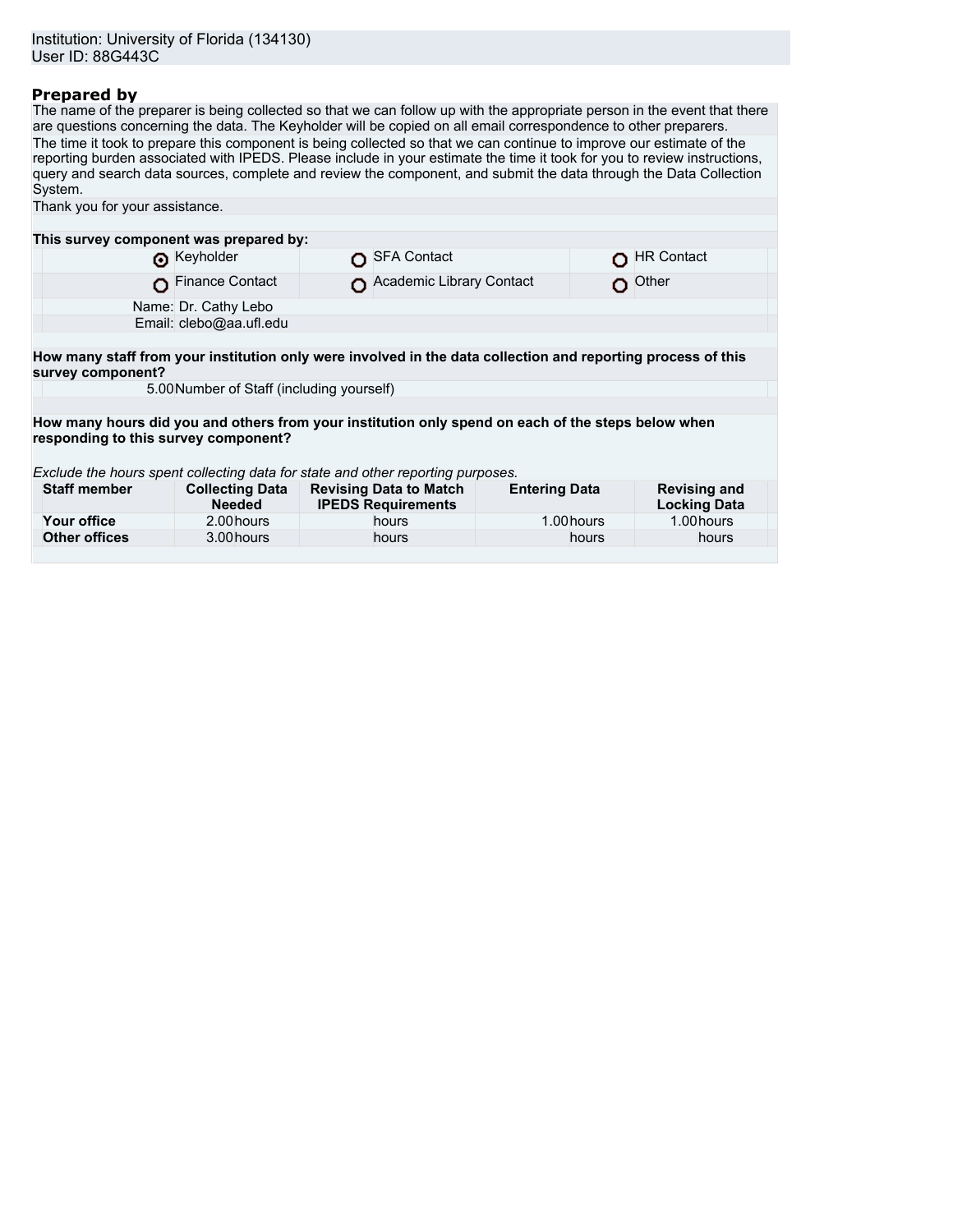## **Prepared by**

The name of the preparer is being collected so that we can follow up with the appropriate person in the event that there are questions concerning the data. The Keyholder will be copied on all email correspondence to other preparers. The time it took to prepare this component is being collected so that we can continue to improve our estimate of the reporting burden associated with IPEDS. Please include in your estimate the time it took for you to review instructions, query and search data sources, complete and review the component, and submit the data through the Data Collection System.

| Thank you for your assistance.                                                                                                    |                                           |                                                            |                          |            |                                            |  |
|-----------------------------------------------------------------------------------------------------------------------------------|-------------------------------------------|------------------------------------------------------------|--------------------------|------------|--------------------------------------------|--|
|                                                                                                                                   |                                           |                                                            |                          |            |                                            |  |
| This survey component was prepared by:                                                                                            |                                           |                                                            |                          |            |                                            |  |
|                                                                                                                                   | Reyholder                                 | <b>SFA Contact</b>                                         |                          |            | <b>HR Contact</b>                          |  |
|                                                                                                                                   | <b>Finance Contact</b>                    |                                                            | Academic Library Contact | O          | Other                                      |  |
|                                                                                                                                   | Name: Dr. Cathy Lebo                      |                                                            |                          |            |                                            |  |
|                                                                                                                                   | Email: clebo@aa.ufl.edu                   |                                                            |                          |            |                                            |  |
|                                                                                                                                   |                                           |                                                            |                          |            |                                            |  |
| How many staff from your institution only were involved in the data collection and reporting process of this<br>survey component? |                                           |                                                            |                          |            |                                            |  |
|                                                                                                                                   | 5.00 Number of Staff (including yourself) |                                                            |                          |            |                                            |  |
|                                                                                                                                   |                                           |                                                            |                          |            |                                            |  |
| How many hours did you and others from your institution only spend on each of the steps below when                                |                                           |                                                            |                          |            |                                            |  |
| responding to this survey component?                                                                                              |                                           |                                                            |                          |            |                                            |  |
|                                                                                                                                   |                                           |                                                            |                          |            |                                            |  |
| Exclude the hours spent collecting data for state and other reporting purposes.                                                   |                                           |                                                            |                          |            |                                            |  |
| <b>Staff member</b>                                                                                                               | <b>Collecting Data</b><br><b>Needed</b>   | <b>Revising Data to Match</b><br><b>IPEDS Requirements</b> | <b>Entering Data</b>     |            | <b>Revising and</b><br><b>Locking Data</b> |  |
| Your office                                                                                                                       | 2.00 hours                                | hours                                                      |                          | 1.00 hours | 1.00 hours                                 |  |
| <b>Other offices</b>                                                                                                              | 3.00 hours                                | hours                                                      |                          | hours      | hours                                      |  |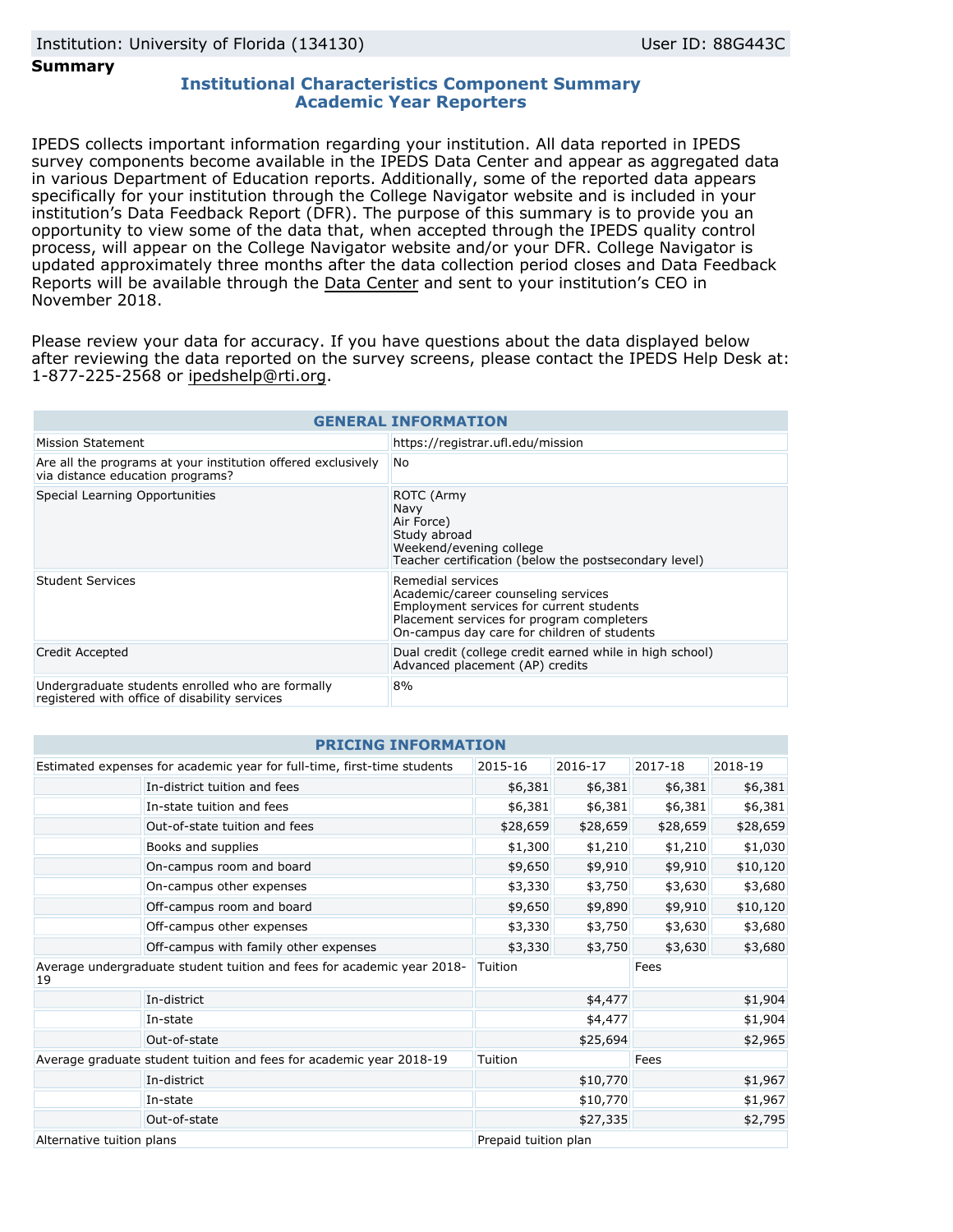### **Summary**

## **Institutional Characteristics Component Summary Academic Year Reporters**

IPEDS collects important information regarding your institution. All data reported in IPEDS survey components become available in the IPEDS Data Center and appear as aggregated data in various Department of Education reports. Additionally, some of the reported data appears specifically for your institution through the College Navigator website and is included in your institution's Data Feedback Report (DFR). The purpose of this summary is to provide you an opportunity to view some of the data that, when accepted through the IPEDS quality control process, will appear on the College Navigator website and/or your DFR. College Navigator is updated approximately three months after the data collection period closes and Data Feedback Reports will be available through the [Data Center](https://nces.ed.gov/ipeds/use-the-data) and sent to your institution's CEO in November 2018.

Please review your data for accuracy. If you have questions about the data displayed below after reviewing the data reported on the survey screens, please contact the IPEDS Help Desk at: 1-877-225-2568 or ipedshelp@rti.org.

| <b>GENERAL INFORMATION</b>                                                                        |                                                                                                                                                                                                  |  |  |  |
|---------------------------------------------------------------------------------------------------|--------------------------------------------------------------------------------------------------------------------------------------------------------------------------------------------------|--|--|--|
| Mission Statement                                                                                 | https://registrar.ufl.edu/mission                                                                                                                                                                |  |  |  |
| Are all the programs at your institution offered exclusively<br>via distance education programs?  | No.                                                                                                                                                                                              |  |  |  |
| Special Learning Opportunities                                                                    | ROTC (Army<br>Navy<br>Air Force)<br>Study abroad<br>Weekend/evening college<br>Teacher certification (below the postsecondary level)                                                             |  |  |  |
| <b>Student Services</b>                                                                           | Remedial services<br>Academic/career counseling services<br>Employment services for current students<br>Placement services for program completers<br>On-campus day care for children of students |  |  |  |
| Credit Accepted                                                                                   | Dual credit (college credit earned while in high school)<br>Advanced placement (AP) credits                                                                                                      |  |  |  |
| Undergraduate students enrolled who are formally<br>registered with office of disability services | 8%                                                                                                                                                                                               |  |  |  |

| <b>PRICING INFORMATION</b>                                                   |                                                                         |                      |          |          |          |  |
|------------------------------------------------------------------------------|-------------------------------------------------------------------------|----------------------|----------|----------|----------|--|
|                                                                              | Estimated expenses for academic year for full-time, first-time students | 2015-16              | 2016-17  | 2017-18  | 2018-19  |  |
|                                                                              | In-district tuition and fees                                            | \$6,381              | \$6,381  | \$6,381  | \$6,381  |  |
|                                                                              | In-state tuition and fees                                               | \$6,381              | \$6,381  | \$6,381  | \$6,381  |  |
|                                                                              | Out-of-state tuition and fees                                           | \$28,659             | \$28,659 | \$28,659 | \$28,659 |  |
|                                                                              | Books and supplies                                                      | \$1,300              | \$1,210  | \$1,210  | \$1,030  |  |
|                                                                              | On-campus room and board                                                | \$9,650              | \$9,910  | \$9,910  | \$10,120 |  |
|                                                                              | On-campus other expenses                                                | \$3,330              | \$3,750  | \$3,630  | \$3,680  |  |
| Off-campus room and board                                                    |                                                                         | \$9,650              | \$9,890  | \$9,910  | \$10,120 |  |
|                                                                              | Off-campus other expenses                                               | \$3,330              | \$3,750  | \$3,630  | \$3,680  |  |
|                                                                              | Off-campus with family other expenses                                   | \$3,330              | \$3,750  | \$3,630  | \$3,680  |  |
| Average undergraduate student tuition and fees for academic year 2018-<br>19 |                                                                         | Tuition              |          | Fees     |          |  |
|                                                                              | In-district                                                             |                      | \$4,477  |          | \$1,904  |  |
|                                                                              | In-state                                                                |                      | \$4,477  |          | \$1,904  |  |
|                                                                              | \$25,694<br>Out-of-state                                                |                      |          |          | \$2,965  |  |
| Average graduate student tuition and fees for academic year 2018-19          |                                                                         | Tuition              |          | Fees     |          |  |
|                                                                              | In-district                                                             |                      | \$10,770 |          | \$1,967  |  |
|                                                                              | In-state                                                                |                      | \$10,770 |          | \$1,967  |  |
| Out-of-state                                                                 |                                                                         |                      | \$27,335 |          | \$2,795  |  |
| Alternative tuition plans                                                    |                                                                         | Prepaid tuition plan |          |          |          |  |